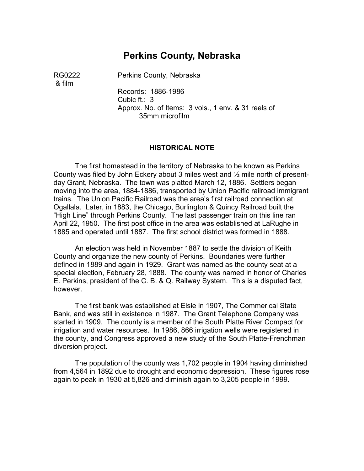# **Perkins County, Nebraska**

& film

RG0222 Perkins County, Nebraska

Records: 1886-1986 Cubic ft.: 3 Approx. No. of Items: 3 vols., 1 env. & 31 reels of 35mm microfilm

#### **HISTORICAL NOTE**

The first homestead in the territory of Nebraska to be known as Perkins County was filed by John Eckery about 3 miles west and ½ mile north of presentday Grant, Nebraska. The town was platted March 12, 1886. Settlers began moving into the area, 1884-1886, transported by Union Pacific railroad immigrant trains. The Union Pacific Railroad was the area's first railroad connection at Ogallala. Later, in 1883, the Chicago, Burlington & Quincy Railroad built the "High Line" through Perkins County. The last passenger train on this line ran April 22, 1950. The first post office in the area was established at LaRughe in 1885 and operated until 1887. The first school district was formed in 1888.

An election was held in November 1887 to settle the division of Keith County and organize the new county of Perkins. Boundaries were further defined in 1889 and again in 1929. Grant was named as the county seat at a special election, February 28, 1888. The county was named in honor of Charles E. Perkins, president of the C. B. & Q. Railway System. This is a disputed fact, however.

The first bank was established at Elsie in 1907, The Commerical State Bank, and was still in existence in 1987. The Grant Telephone Company was started in 1909. The county is a member of the South Platte River Compact for irrigation and water resources. In 1986, 866 irrigation wells were registered in the county, and Congress approved a new study of the South Platte-Frenchman diversion project.

The population of the county was 1,702 people in 1904 having diminished from 4,564 in 1892 due to drought and economic depression. These figures rose again to peak in 1930 at 5,826 and diminish again to 3,205 people in 1999.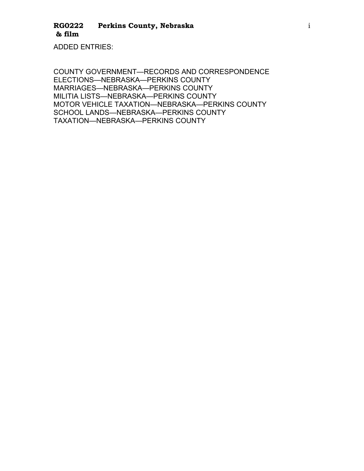ADDED ENTRIES:

COUNTY GOVERNMENT—RECORDS AND CORRESPONDENCE ELECTIONS—NEBRASKA—PERKINS COUNTY MARRIAGES—NEBRASKA—PERKINS COUNTY MILITIA LISTS—NEBRASKA—PERKINS COUNTY MOTOR VEHICLE TAXATION—NEBRASKA—PERKINS COUNTY SCHOOL LANDS—NEBRASKA—PERKINS COUNTY TAXATION—NEBRASKA—PERKINS COUNTY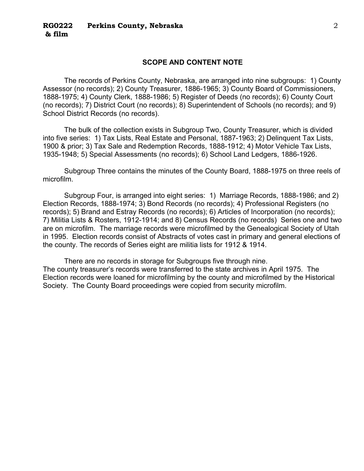#### **SCOPE AND CONTENT NOTE**

The records of Perkins County, Nebraska, are arranged into nine subgroups: 1) County Assessor (no records); 2) County Treasurer, 1886-1965; 3) County Board of Commissioners, 1888-1975; 4) County Clerk, 1888-1986; 5) Register of Deeds (no records); 6) County Court (no records); 7) District Court (no records); 8) Superintendent of Schools (no records); and 9) School District Records (no records).

The bulk of the collection exists in Subgroup Two, County Treasurer, which is divided into five series: 1) Tax Lists, Real Estate and Personal, 1887-1963; 2) Delinquent Tax Lists, 1900 & prior; 3) Tax Sale and Redemption Records, 1888-1912; 4) Motor Vehicle Tax Lists, 1935-1948; 5) Special Assessments (no records); 6) School Land Ledgers, 1886-1926.

Subgroup Three contains the minutes of the County Board, 1888-1975 on three reels of microfilm.

Subgroup Four, is arranged into eight series: 1) Marriage Records, 1888-1986; and 2) Election Records, 1888-1974; 3) Bond Records (no records); 4) Professional Registers (no records); 5) Brand and Estray Records (no records); 6) Articles of Incorporation (no records); 7) Militia Lists & Rosters, 1912-1914; and 8) Census Records (no records) Series one and two are on microfilm. The marriage records were microfilmed by the Genealogical Society of Utah in 1995. Election records consist of Abstracts of votes cast in primary and general elections of the county. The records of Series eight are militia lists for 1912 & 1914.

There are no records in storage for Subgroups five through nine. The county treasurer's records were transferred to the state archives in April 1975. The Election records were loaned for microfilming by the county and microfilmed by the Historical Society. The County Board proceedings were copied from security microfilm.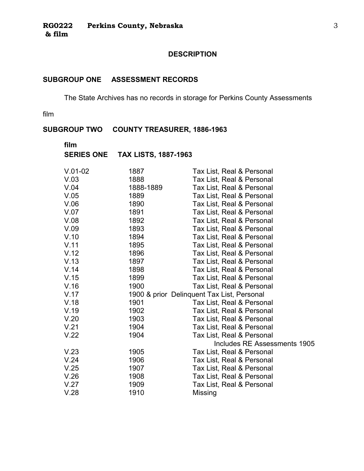## **DESCRIPTION**

# **SUBGROUP ONE ASSESSMENT RECORDS**

The State Archives has no records in storage for Perkins County Assessments

film

# **SUBGROUP TWO COUNTY TREASURER, 1886-1963**

| film |                                 |
|------|---------------------------------|
|      | SERIES ONE TAX LISTS, 1887-1963 |

| $V.01-02$ | 1887      | Tax List, Real & Personal                  |
|-----------|-----------|--------------------------------------------|
| V.03      | 1888      | Tax List, Real & Personal                  |
| V.04      | 1888-1889 | Tax List, Real & Personal                  |
| V.05      | 1889      | Tax List, Real & Personal                  |
| V.06      | 1890      | Tax List, Real & Personal                  |
| V.07      | 1891      | Tax List, Real & Personal                  |
| V.08      | 1892      | Tax List, Real & Personal                  |
| V.09      | 1893      | Tax List, Real & Personal                  |
| V.10      | 1894      | Tax List, Real & Personal                  |
| V.11      | 1895      | Tax List, Real & Personal                  |
| V.12      | 1896      | Tax List, Real & Personal                  |
| V.13      | 1897      | Tax List, Real & Personal                  |
| V.14      | 1898      | Tax List, Real & Personal                  |
| V.15      | 1899      | Tax List, Real & Personal                  |
| V.16      | 1900      | Tax List, Real & Personal                  |
| V.17      |           | 1900 & prior Delinquent Tax List, Personal |
| V.18      | 1901      | Tax List, Real & Personal                  |
| V.19      | 1902      | Tax List, Real & Personal                  |
| V.20      | 1903      | Tax List, Real & Personal                  |
| V.21      | 1904      | Tax List, Real & Personal                  |
| V.22      | 1904      | Tax List, Real & Personal                  |
|           |           | Includes RE Assessments 1905               |
| V.23      | 1905      | Tax List, Real & Personal                  |
| V.24      | 1906      | Tax List, Real & Personal                  |
| V.25      | 1907      | Tax List, Real & Personal                  |
| V.26      | 1908      | Tax List, Real & Personal                  |
| V.27      | 1909      | Tax List, Real & Personal                  |
| V.28      | 1910      | <b>Missing</b>                             |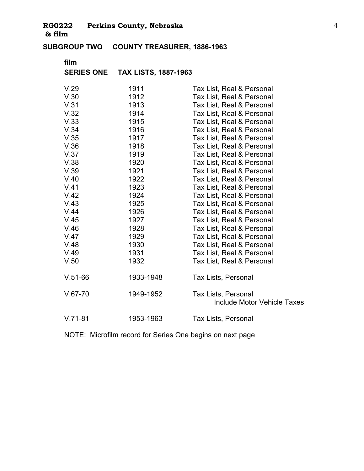**SUBGROUP TWO COUNTY TREASURER, 1886-1963** �

# **film**

# **SERIES ONE TAX LISTS, 1887-1963**

| V.29      | 1911      | Tax List, Real & Personal                                        |
|-----------|-----------|------------------------------------------------------------------|
| V.30      | 1912      | Tax List, Real & Personal                                        |
| V.31      | 1913      | Tax List, Real & Personal                                        |
| V.32      | 1914      | Tax List, Real & Personal                                        |
| V.33      | 1915      | Tax List, Real & Personal                                        |
| V.34      | 1916      | Tax List, Real & Personal                                        |
| V.35      | 1917      | Tax List, Real & Personal                                        |
| V.36      | 1918      | Tax List, Real & Personal                                        |
| V.37      | 1919      | Tax List, Real & Personal                                        |
| V.38      | 1920      | Tax List, Real & Personal                                        |
| V.39      | 1921      | Tax List, Real & Personal                                        |
| V.40      | 1922      | Tax List, Real & Personal                                        |
| V.41      | 1923      | Tax List, Real & Personal                                        |
| V.42      | 1924      | Tax List, Real & Personal                                        |
| V.43      | 1925      | Tax List, Real & Personal                                        |
| V.44      | 1926      | Tax List, Real & Personal                                        |
| V.45      | 1927      | Tax List, Real & Personal                                        |
| V.46      | 1928      | Tax List, Real & Personal                                        |
| V.47      | 1929      | Tax List, Real & Personal                                        |
| V.48      | 1930      | Tax List, Real & Personal                                        |
| V.49      | 1931      | Tax List, Real & Personal                                        |
| V.50      | 1932      | Tax List, Real & Personal                                        |
| $V.51-66$ | 1933-1948 | Tax Lists, Personal                                              |
| $V.67-70$ | 1949-1952 | <b>Tax Lists, Personal</b><br><b>Include Motor Vehicle Taxes</b> |
| $V.71-81$ | 1953-1963 | <b>Tax Lists, Personal</b>                                       |

NOTE: Microfilm record for Series One begins on next page �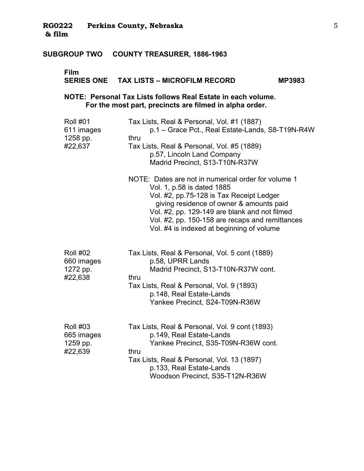# **Film**

## **SERIES ONE TAX LISTS – MICROFILM RECORD MP3983**

### **NOTE: Personal Tax Lists follows Real Estate in each volume. For the most part, precincts are filmed in alpha order.**

| <b>Roll #01</b><br>611 images<br>1258 pp.<br>#22,637 | Tax Lists, Real & Personal, Vol. #1 (1887)<br>p.1 - Grace Pct., Real Estate-Lands, S8-T19N-R4W<br>thru<br>Tax Lists, Real & Personal, Vol. #5 (1889)<br>p.57, Lincoln Land Company<br>Madrid Precinct, S13-T10N-R37W                                                                                                       |
|------------------------------------------------------|----------------------------------------------------------------------------------------------------------------------------------------------------------------------------------------------------------------------------------------------------------------------------------------------------------------------------|
|                                                      | NOTE: Dates are not in numerical order for volume 1<br>Vol. 1, p.58 is dated 1885<br>Vol. #2, pp.75-128 is Tax Receipt Ledger<br>giving residence of owner & amounts paid<br>Vol. #2, pp. 129-149 are blank and not filmed<br>Vol. #2, pp. 150-158 are recaps and remittances<br>Vol. #4 is indexed at beginning of volume |
| <b>Roll #02</b><br>660 images<br>1272 pp.<br>#22,638 | Tax Lists, Real & Personal, Vol. 5 cont (1889)<br>p.58, UPRR Lands<br>Madrid Precinct, S13-T10N-R37W cont.<br>thru<br>Tax Lists, Real & Personal, Vol. 9 (1893)<br>p.148, Real Estate-Lands<br>Yankee Precinct, S24-T09N-R36W                                                                                              |
| <b>Roll #03</b><br>665 images<br>1259 pp.<br>#22,639 | Tax Lists, Real & Personal, Vol. 9 cont (1893)<br>p.149, Real Estate-Lands<br>Yankee Precinct, S35-T09N-R36W cont.<br>thru<br>Tax Lists, Real & Personal, Vol. 13 (1897)<br>p.133, Real Estate-Lands<br>Woodson Precinct, S35-T12N-R36W                                                                                    |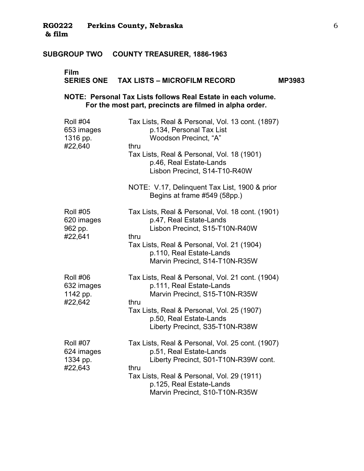# **Film**

#### **SERIES ONE TAX LISTS – MICROFILM RECORD MP3983**

**NOTE: Personal Tax Lists follows Real Estate in each volume. For the most part, precincts are filmed in alpha order.** 

| <b>Roll #04</b><br>653 images<br>1316 pp.<br>#22,640 | Tax Lists, Real & Personal, Vol. 13 cont. (1897)<br>p.134, Personal Tax List<br>Woodson Precinct, "A"<br>thru                |
|------------------------------------------------------|------------------------------------------------------------------------------------------------------------------------------|
|                                                      | Tax Lists, Real & Personal, Vol. 18 (1901)<br>p.46, Real Estate-Lands<br>Lisbon Precinct, S14-T10-R40W                       |
|                                                      | NOTE: V.17, Delinquent Tax List, 1900 & prior<br>Begins at frame #549 (58pp.)                                                |
| <b>Roll #05</b><br>620 images<br>962 pp.<br>#22,641  | Tax Lists, Real & Personal, Vol. 18 cont. (1901)<br>p.47, Real Estate-Lands<br>Lisbon Precinct, S15-T10N-R40W<br>thru        |
|                                                      | Tax Lists, Real & Personal, Vol. 21 (1904)<br>p.110, Real Estate-Lands<br>Marvin Precinct, S14-T10N-R35W                     |
| <b>Roll #06</b><br>632 images<br>1142 pp.<br>#22,642 | Tax Lists, Real & Personal, Vol. 21 cont. (1904)<br>p.111, Real Estate-Lands<br>Marvin Precinct, S15-T10N-R35W<br>thru       |
|                                                      | Tax Lists, Real & Personal, Vol. 25 (1907)<br>p.50, Real Estate-Lands<br>Liberty Precinct, S35-T10N-R38W                     |
| <b>Roll #07</b><br>624 images<br>1334 pp.<br>#22,643 | Tax Lists, Real & Personal, Vol. 25 cont. (1907)<br>p.51, Real Estate-Lands<br>Liberty Precinct, S01-T10N-R39W cont.<br>thru |
|                                                      | Tax Lists, Real & Personal, Vol. 29 (1911)<br>p.125, Real Estate-Lands<br>Marvin Precinct, S10-T10N-R35W                     |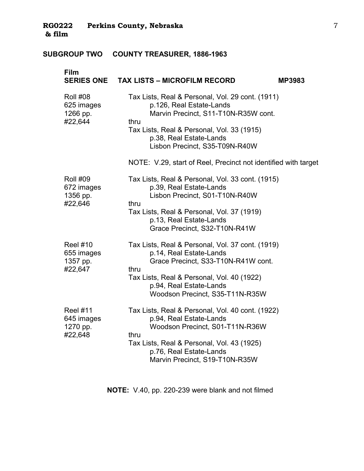| Film                                                 | SERIES ONE  TAX LISTS – MICROFILM RECORD                                                                                                                                                                                                                                                                  | <b>MP3983</b> |
|------------------------------------------------------|-----------------------------------------------------------------------------------------------------------------------------------------------------------------------------------------------------------------------------------------------------------------------------------------------------------|---------------|
| <b>Roll #08</b><br>625 images<br>1266 pp.<br>#22,644 | Tax Lists, Real & Personal, Vol. 29 cont. (1911)<br>p.126, Real Estate-Lands<br>Marvin Precinct, S11-T10N-R35W cont.<br>thru<br>Tax Lists, Real & Personal, Vol. 33 (1915)<br>p.38, Real Estate-Lands<br>Lisbon Precinct, S35-T09N-R40W<br>NOTE: V.29, start of Reel, Precinct not identified with target |               |
| <b>Roll #09</b><br>672 images<br>1356 pp.<br>#22,646 | Tax Lists, Real & Personal, Vol. 33 cont. (1915)<br>p.39, Real Estate-Lands<br>Lisbon Precinct, S01-T10N-R40W<br>thru<br>Tax Lists, Real & Personal, Vol. 37 (1919)<br>p.13, Real Estate-Lands<br>Grace Precinct, S32-T10N-R41W                                                                           |               |
| <b>Reel #10</b><br>655 images<br>1357 pp.<br>#22,647 | Tax Lists, Real & Personal, Vol. 37 cont. (1919)<br>p.14, Real Estate-Lands<br>Grace Precinct, S33-T10N-R41W cont.<br>thru<br>Tax Lists, Real & Personal, Vol. 40 (1922)<br>p.94, Real Estate-Lands<br>Woodson Precinct, S35-T11N-R35W                                                                    |               |
| <b>Reel #11</b><br>645 images<br>1270 pp.<br>#22,648 | Tax Lists, Real & Personal, Vol. 40 cont. (1922)<br>p.94, Real Estate-Lands<br>Woodson Precinct, S01-T11N-R36W<br>thru<br>Tax Lists, Real & Personal, Vol. 43 (1925)<br>p.76, Real Estate-Lands<br>Marvin Precinct, S19-T10N-R35W                                                                         |               |

**NOTE:** V.40, pp. 220-239 were blank and not filmed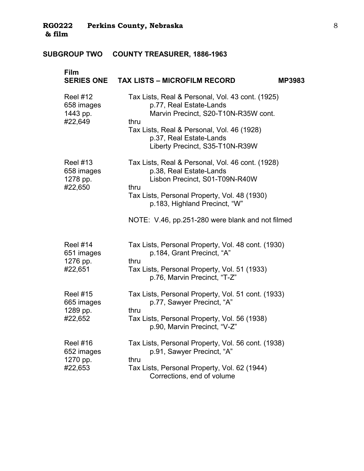| Film                                                 | SERIES ONE TAX LISTS - MICROFILM RECORD<br><b>MP3983</b>                                                                                                                                                                                                   |  |
|------------------------------------------------------|------------------------------------------------------------------------------------------------------------------------------------------------------------------------------------------------------------------------------------------------------------|--|
| <b>Reel #12</b><br>658 images<br>1443 pp.<br>#22,649 | Tax Lists, Real & Personal, Vol. 43 cont. (1925)<br>p.77, Real Estate-Lands<br>Marvin Precinct, S20-T10N-R35W cont.<br>thru<br>Tax Lists, Real & Personal, Vol. 46 (1928)<br>p.37, Real Estate-Lands<br>Liberty Precinct, S35-T10N-R39W                    |  |
| <b>Reel #13</b><br>658 images<br>1278 pp.<br>#22,650 | Tax Lists, Real & Personal, Vol. 46 cont. (1928)<br>p.38, Real Estate-Lands<br>Lisbon Precinct, S01-T09N-R40W<br>thru<br>Tax Lists, Personal Property, Vol. 48 (1930)<br>p.183, Highland Precinct, "W"<br>NOTE: V.46, pp.251-280 were blank and not filmed |  |
| <b>Reel #14</b><br>651 images<br>1276 pp.<br>#22,651 | Tax Lists, Personal Property, Vol. 48 cont. (1930)<br>p.184, Grant Precinct, "A"<br>thru<br>Tax Lists, Personal Property, Vol. 51 (1933)<br>p.76, Marvin Precinct, "T-Z"                                                                                   |  |
| <b>Reel #15</b><br>665 images<br>1289 pp.<br>#22,652 | Tax Lists, Personal Property, Vol. 51 cont. (1933)<br>p.77, Sawyer Precinct, "A"<br>thru<br>Tax Lists, Personal Property, Vol. 56 (1938)<br>p.90, Marvin Precinct, "V-Z"                                                                                   |  |
| <b>Reel #16</b><br>652 images<br>1270 pp.<br>#22,653 | Tax Lists, Personal Property, Vol. 56 cont. (1938)<br>p.91, Sawyer Precinct, "A"<br>thru<br>Tax Lists, Personal Property, Vol. 62 (1944)<br>Corrections, end of volume                                                                                     |  |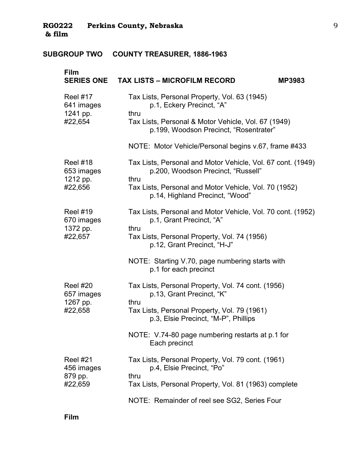| Film<br><b>SERIES ONE</b>                            | <b>TAX LISTS - MICROFILM RECORD</b>                                                                       | <b>MP3983</b> |
|------------------------------------------------------|-----------------------------------------------------------------------------------------------------------|---------------|
| <b>Reel #17</b><br>641 images<br>1241 pp.<br>#22,654 | Tax Lists, Personal Property, Vol. 63 (1945)<br>p.1, Eckery Precinct, "A"<br>thru                         |               |
|                                                      | Tax Lists, Personal & Motor Vehicle, Vol. 67 (1949)<br>p.199, Woodson Precinct, "Rosentrater"             |               |
|                                                      | NOTE: Motor Vehicle/Personal begins v.67, frame #433                                                      |               |
| <b>Reel #18</b><br>653 images<br>1212 pp.<br>#22,656 | Tax Lists, Personal and Motor Vehicle, Vol. 67 cont. (1949)<br>p.200, Woodson Precinct, "Russell"<br>thru |               |
|                                                      | Tax Lists, Personal and Motor Vehicle, Vol. 70 (1952)<br>p.14, Highland Precinct, "Wood"                  |               |
| <b>Reel #19</b><br>670 images<br>1372 pp.<br>#22,657 | Tax Lists, Personal and Motor Vehicle, Vol. 70 cont. (1952)<br>p.1, Grant Precinct, "A"<br>thru           |               |
|                                                      | Tax Lists, Personal Property, Vol. 74 (1956)<br>p.12, Grant Precinct, "H-J"                               |               |
|                                                      | NOTE: Starting V.70, page numbering starts with<br>p.1 for each precinct                                  |               |
| <b>Reel #20</b><br>657 images<br>1267 pp.<br>#22,658 | Tax Lists, Personal Property, Vol. 74 cont. (1956)<br>p.13, Grant Precinct, "K"<br>thru                   |               |
|                                                      | Tax Lists, Personal Property, Vol. 79 (1961)<br>p.3, Elsie Precinct, "M-P", Phillips                      |               |
|                                                      | NOTE: V.74-80 page numbering restarts at p.1 for<br>Each precinct                                         |               |
| <b>Reel #21</b><br>456 images                        | Tax Lists, Personal Property, Vol. 79 cont. (1961)<br>p.4, Elsie Precinct, "Po"<br>thru                   |               |
| 879 pp.<br>#22,659                                   | Tax Lists, Personal Property, Vol. 81 (1963) complete                                                     |               |
|                                                      | NOTE: Remainder of reel see SG2, Series Four                                                              |               |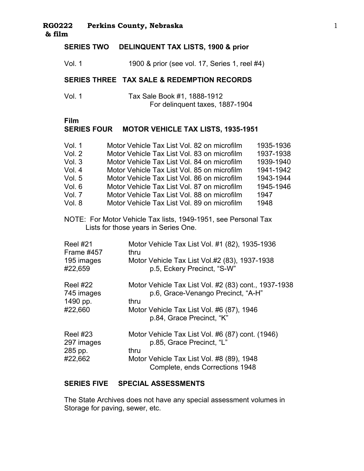# **SERIES TWO DELINQUENT TAX LISTS, 1900 & prior**

Vol. 1 1900 & prior (see vol. 17, Series 1, reel #4)

#### **SERIES THREE TAX SALE & REDEMPTION RECORDS**

Vol. 1 Tax Sale Book #1, 1888-1912 For delinquent taxes, 1887-1904

#### **Film** �

# **SERIES FOUR MOTOR VEHICLE TAX LISTS, 1935-1951**

| Vol. 1 | Motor Vehicle Tax List Vol. 82 on microfilm | 1935-1936 |
|--------|---------------------------------------------|-----------|
| Vol. 2 | Motor Vehicle Tax List Vol. 83 on microfilm | 1937-1938 |
| Vol.3  | Motor Vehicle Tax List Vol. 84 on microfilm | 1939-1940 |
| Vol. 4 | Motor Vehicle Tax List Vol. 85 on microfilm | 1941-1942 |
| Vol. 5 | Motor Vehicle Tax List Vol. 86 on microfilm | 1943-1944 |
| Vol. 6 | Motor Vehicle Tax List Vol. 87 on microfilm | 1945-1946 |
| Vol. 7 | Motor Vehicle Tax List Vol. 88 on microfilm | 1947      |
| Vol. 8 | Motor Vehicle Tax List Vol. 89 on microfilm | 1948      |

NOTE: For Motor Vehicle Tax lists, 1949-1951, see Personal Tax � Lists for those years in Series One.

| <b>Reel #21</b> | Motor Vehicle Tax List Vol. #1 (82), 1935-1936                               |
|-----------------|------------------------------------------------------------------------------|
| Frame #457      | thru                                                                         |
| 195 images      | Motor Vehicle Tax List Vol.#2 (83), 1937-1938                                |
| #22,659         | p.5, Eckery Precinct, "S-W"                                                  |
| <b>Reel #22</b> | Motor Vehicle Tax List Vol. #2 (83) cont., 1937-1938                         |
| 745 images      | p.6, Grace-Venango Precinct, "A-H"                                           |
| 1490 pp.        | thru                                                                         |
| #22,660         | Motor Vehicle Tax List Vol. #6 (87), 1946<br>p.84, Grace Precinct, "K"       |
| <b>Reel #23</b> | Motor Vehicle Tax List Vol. #6 (87) cont. (1946)                             |
| 297 images      | p.85, Grace Precinct, "L"                                                    |
| 285 pp.         | thru                                                                         |
| #22,662         | Motor Vehicle Tax List Vol. #8 (89), 1948<br>Complete, ends Corrections 1948 |

#### **SERIES FIVE SPECIAL ASSESSMENTS**

The State Archives does not have any special assessment volumes in Storage for paving, sewer, etc.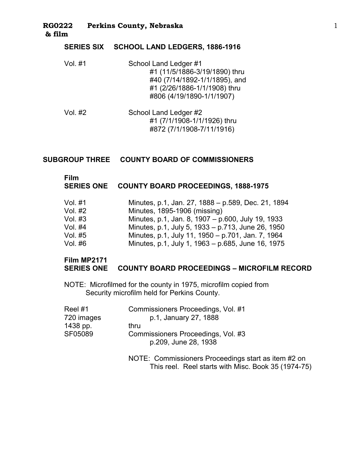#### **SERIES SIX SCHOOL LAND LEDGERS, 1886-1916**

- Vol. #1 School Land Ledger #1 #1 (11/5/1886-3/19/1890) thru #40 (7/14/1892-1/1/1895), and #1 (2/26/1886-1/1/1908) thru #806 (4/19/1890-1/1/1907) �
- Vol. #2 School Land Ledger #2 #1 (7/1/1908-1/1/1926) thru #872 (7/1/1908-7/11/1916) �

#### **SUBGROUP THREE COUNTY BOARD OF COMMISSIONERS**

# **Film** �

#### **SERIES ONE COUNTY BOARD PROCEEDINGS, 1888-1975**

| Vol. #1 | Minutes, p.1, Jan. 27, 1888 - p.589, Dec. 21, 1894 |
|---------|----------------------------------------------------|
| Vol. #2 | Minutes, 1895-1906 (missing)                       |
| Vol. #3 | Minutes, p.1, Jan. 8, 1907 – p.600, July 19, 1933  |
| Vol. #4 | Minutes, p.1, July 5, 1933 – p.713, June 26, 1950  |
| Vol. #5 | Minutes, p.1, July 11, 1950 - p.701, Jan. 7, 1964  |
| Vol. #6 | Minutes, p.1, July 1, 1963 – p.685, June 16, 1975  |

#### **Film MP2171 SERIES ONE COUNTY BOARD PROCEEDINGS – MICROFILM RECORD**

NOTE: Microfilmed for the county in 1975, microfilm copied from Security microfilm held for Perkins County.

| Reel #1    | Commissioners Proceedings, Vol. #1                         |
|------------|------------------------------------------------------------|
| 720 images | p.1, January 27, 1888                                      |
| 1438 pp.   | thru                                                       |
| SF05089    | Commissioners Proceedings, Vol. #3<br>p.209, June 28, 1938 |
|            | NOTE: Commissioners Proceedings start as item #2 on        |

This reel. Reel starts with Misc. Book 35 (1974-75)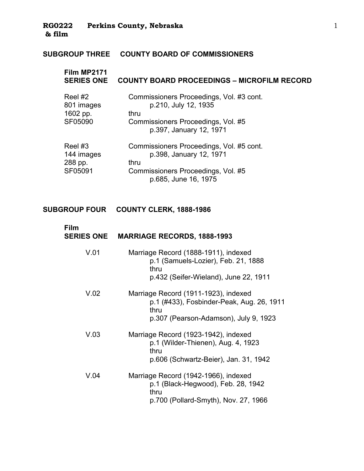# **SUBGROUP THREE COUNTY BOARD OF COMMISSIONERS**

| Film MP2171<br><b>SERIES ONE</b>             | <b>COUNTY BOARD PROCEEDINGS - MICROFILM RECORD</b>                                                                                        |
|----------------------------------------------|-------------------------------------------------------------------------------------------------------------------------------------------|
| Reel #2<br>801 images<br>1602 pp.<br>SF05090 | Commissioners Proceedings, Vol. #3 cont.<br>p.210, July 12, 1935<br>thru<br>Commissioners Proceedings, Vol. #5<br>p.397, January 12, 1971 |
| Reel #3<br>144 images<br>288 pp.<br>SF05091  | Commissioners Proceedings, Vol. #5 cont.<br>p.398, January 12, 1971<br>thru<br>Commissioners Proceedings, Vol. #5<br>p.685, June 16, 1975 |

## **SUBGROUP FOUR COUNTY CLERK, 1888-1986**

| Film<br><b>SERIES ONE</b> | <b>MARRIAGE RECORDS, 1888-1993</b>                                                                                                 |
|---------------------------|------------------------------------------------------------------------------------------------------------------------------------|
| V.01                      | Marriage Record (1888-1911), indexed<br>p.1 (Samuels-Lozier), Feb. 21, 1888<br>thru<br>p.432 (Seifer-Wieland), June 22, 1911       |
| V.02                      | Marriage Record (1911-1923), indexed<br>p.1 (#433), Fosbinder-Peak, Aug. 26, 1911<br>thru<br>p.307 (Pearson-Adamson), July 9, 1923 |
| V.03                      | Marriage Record (1923-1942), indexed<br>p.1 (Wilder-Thienen), Aug. 4, 1923<br>thru<br>p.606 (Schwartz-Beier), Jan. 31, 1942        |
| V.04                      | Marriage Record (1942-1966), indexed<br>p.1 (Black-Hegwood), Feb. 28, 1942<br>thru<br>p.700 (Pollard-Smyth), Nov. 27, 1966         |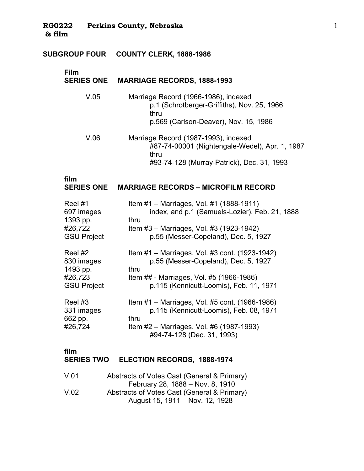#### **SUBGROUP FOUR COUNTY CLERK, 1888-1986** �

# **Film SERIES ONE MARRIAGE RECORDS, 1888-1993** V.05 Marriage Record (1966-1986), indexed p.1 (Schrotberger-Griffiths), Nov. 25, 1966 thru p.569 (Carlson-Deaver), Nov. 15, 1986 V.06 � Marriage Record (1987-1993), indexed #87-74-00001 (Nightengale-Wedel), Apr. 1, 1987 thru #93-74-128 (Murray-Patrick), Dec. 31, 1993

#### **film MARRIAGE RECORDS – MICROFILM RECORD**

| Reel #1                                     | Item #1 - Marriages, Vol. #1 (1888-1911)                                                                                                                                    |
|---------------------------------------------|-----------------------------------------------------------------------------------------------------------------------------------------------------------------------------|
| 697 images                                  | index, and p.1 (Samuels-Lozier), Feb. 21, 1888                                                                                                                              |
| 1393 pp.                                    | thru                                                                                                                                                                        |
| #26,722                                     | Item #3 – Marriages, Vol. #3 (1923-1942)                                                                                                                                    |
| <b>GSU Project</b>                          | p.55 (Messer-Copeland), Dec. 5, 1927                                                                                                                                        |
| Reel #2                                     | Item #1 – Marriages, Vol. #3 cont. (1923-1942)                                                                                                                              |
| 830 images                                  | p.55 (Messer-Copeland), Dec. 5, 1927                                                                                                                                        |
| 1493 pp.                                    | thru                                                                                                                                                                        |
| #26,723                                     | Item ## - Marriages, Vol. #5 (1966-1986)                                                                                                                                    |
| <b>GSU Project</b>                          | p.115 (Kennicutt-Loomis), Feb. 11, 1971                                                                                                                                     |
| Reel #3<br>331 images<br>662 pp.<br>#26,724 | Item #1 - Marriages, Vol. #5 cont. (1966-1986)<br>p.115 (Kennicutt-Loomis), Feb. 08, 1971<br>thru<br>Item #2 – Marriages, Vol. #6 (1987-1993)<br>#94-74-128 (Dec. 31, 1993) |

#### **film** �

#### **SERIES TWO ELECTION RECORDS, 1888-1974**

| V.01 | Abstracts of Votes Cast (General & Primary) |
|------|---------------------------------------------|
|      | February 28, 1888 – Nov. 8, 1910            |
| V.02 | Abstracts of Votes Cast (General & Primary) |
|      | August 15, 1911 – Nov. 12, 1928             |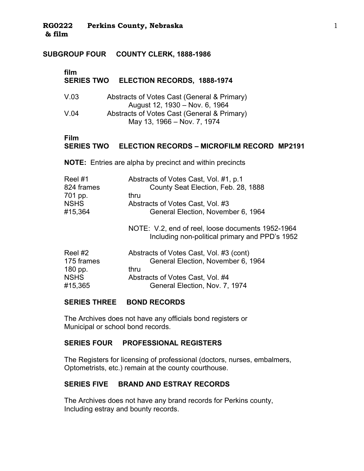#### **SUBGROUP FOUR COUNTY CLERK, 1888-1986**

#### **film SERIES TWO ELECTION RECORDS, 1888-1974**

| V.03 | Abstracts of Votes Cast (General & Primary) |
|------|---------------------------------------------|
|      | August 12, 1930 – Nov. 6, 1964              |
| V.04 | Abstracts of Votes Cast (General & Primary) |
|      | May 13, 1966 – Nov. 7, 1974                 |

#### **Film ELECTION RECORDS – MICROFILM RECORD MP2191**

**NOTE:** Entries are alpha by precinct and within precincts

| Reel #1     | Abstracts of Votes Cast, Vol. #1, p.1 |
|-------------|---------------------------------------|
| 824 frames  | County Seat Election, Feb. 28, 1888   |
| 701 pp.     | thru                                  |
| <b>NSHS</b> | Abstracts of Votes Cast, Vol. #3      |
| #15,364     | General Election, November 6, 1964    |
|             |                                       |

NOTE: V.2, end of reel, loose documents 1952-1964 Including non-political primary and PPD's 1952

| Reel #2     | Abstracts of Votes Cast, Vol. #3 (cont) |
|-------------|-----------------------------------------|
| 175 frames  | General Election, November 6, 1964      |
| 180 pp.     | thru                                    |
| <b>NSHS</b> | Abstracts of Votes Cast, Vol. #4        |
| #15,365     | General Election, Nov. 7, 1974          |

#### **SERIES THREE BOND RECORDS**

The Archives does not have any officials bond registers or Municipal or school bond records.

#### **SERIES FOUR PROFESSIONAL REGISTERS**

The Registers for licensing of professional (doctors, nurses, embalmers, Optometrists, etc.) remain at the county courthouse.

## **SERIES FIVE BRAND AND ESTRAY RECORDS**

The Archives does not have any brand records for Perkins county, Including estray and bounty records.